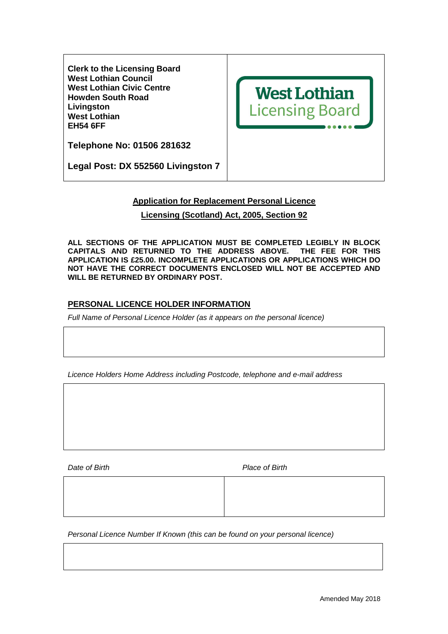**Clerk to the Licensing Board West Lothian Council West Lothian Civic Centre Howden South Road Livingston West Lothian EH54 6FF** 



**Telephone No: 01506 281632** 

**Legal Post: DX 552560 Livingston 7** 

# **Application for Replacement Personal Licence**

# **Licensing (Scotland) Act, 2005, Section 92**

**ALL SECTIONS OF THE APPLICATION MUST BE COMPLETED LEGIBLY IN BLOCK CAPITALS AND RETURNED TO THE ADDRESS ABOVE. THE FEE FOR THIS APPLICATION IS £25.00. INCOMPLETE APPLICATIONS OR APPLICATIONS WHICH DO NOT HAVE THE CORRECT DOCUMENTS ENCLOSED WILL NOT BE ACCEPTED AND WILL BE RETURNED BY ORDINARY POST.** 

# **PERSONAL LICENCE HOLDER INFORMATION**

Full Name of Personal Licence Holder (as it appears on the personal licence)

Licence Holders Home Address including Postcode, telephone and e-mail address

Date of Birth **Place of Birth** 

Personal Licence Number If Known (this can be found on your personal licence)